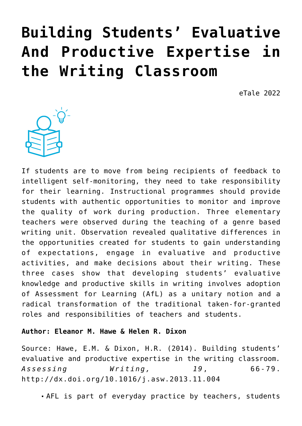# **[Building Students' Evaluative](https://dev.taleafrica.com/2022/01/03/building-students-evaluative-and-productive-expertise-in-the-writing-classroom/) [And Productive Expertise in](https://dev.taleafrica.com/2022/01/03/building-students-evaluative-and-productive-expertise-in-the-writing-classroom/) [the Writing Classroom](https://dev.taleafrica.com/2022/01/03/building-students-evaluative-and-productive-expertise-in-the-writing-classroom/)**

eTale 2022



If students are to move from being recipients of feedback to intelligent self-monitoring, they need to take responsibility for their learning. Instructional programmes should provide students with authentic opportunities to monitor and improve the quality of work during production. Three elementary teachers were observed during the teaching of a genre based writing unit. Observation revealed qualitative differences in the opportunities created for students to gain understanding of expectations, engage in evaluative and productive activities, and make decisions about their writing. These three cases show that developing students' evaluative knowledge and productive skills in writing involves adoption of Assessment for Learning (AfL) as a unitary notion and a radical transformation of the traditional taken-for-granted roles and responsibilities of teachers and students.

#### **Author: Eleanor M. Hawe & Helen R. Dixon**

Source: Hawe, E.M. & Dixon, H.R. (2014). Building students' evaluative and productive expertise in the writing classroom*. Assessing Writing, 19*, 66-79. http://dx.doi.org/10.1016/j.asw.2013.11.004

AFL is part of everyday practice by teachers, students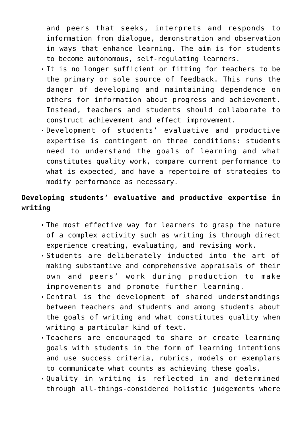and peers that seeks, interprets and responds to information from dialogue, demonstration and observation in ways that enhance learning. The aim is for students to become autonomous, self-regulating learners.

- It is no longer sufficient or fitting for teachers to be the primary or sole source of feedback. This runs the danger of developing and maintaining dependence on others for information about progress and achievement. Instead, teachers and students should collaborate to construct achievement and effect improvement.
- Development of students' evaluative and productive expertise is contingent on three conditions: students need to understand the goals of learning and what constitutes quality work, compare current performance to what is expected, and have a repertoire of strategies to modify performance as necessary.

# **Developing students' evaluative and productive expertise in writing**

- The most effective way for learners to grasp the nature of a complex activity such as writing is through direct experience creating, evaluating, and revising work.
- Students are deliberately inducted into the art of making substantive and comprehensive appraisals of their own and peers' work during production to make improvements and promote further learning.
- Central is the development of shared understandings between teachers and students and among students about the goals of writing and what constitutes quality when writing a particular kind of text.
- Teachers are encouraged to share or create learning goals with students in the form of learning intentions and use success criteria, rubrics, models or exemplars to communicate what counts as achieving these goals.
- Quality in writing is reflected in and determined through all-things-considered holistic judgements where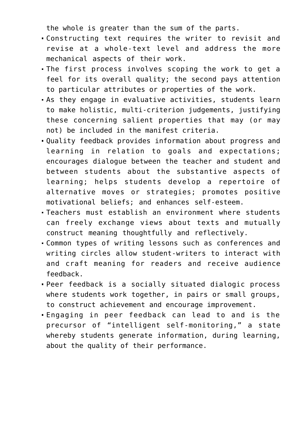the whole is greater than the sum of the parts.

- Constructing text requires the writer to revisit and revise at a whole-text level and address the more mechanical aspects of their work.
- The first process involves scoping the work to get a feel for its overall quality; the second pays attention to particular attributes or properties of the work.
- As they engage in evaluative activities, students learn to make holistic, multi-criterion judgements, justifying these concerning salient properties that may (or may not) be included in the manifest criteria.
- Quality feedback provides information about progress and learning in relation to goals and expectations; encourages dialogue between the teacher and student and between students about the substantive aspects of learning; helps students develop a repertoire of alternative moves or strategies; promotes positive motivational beliefs; and enhances self-esteem.
- Teachers must establish an environment where students can freely exchange views about texts and mutually construct meaning thoughtfully and reflectively.
- Common types of writing lessons such as conferences and writing circles allow student-writers to interact with and craft meaning for readers and receive audience feedback.
- Peer feedback is a socially situated dialogic process where students work together, in pairs or small groups, to construct achievement and encourage improvement.
- Engaging in peer feedback can lead to and is the precursor of "intelligent self-monitoring," a state whereby students generate information, during learning, about the quality of their performance.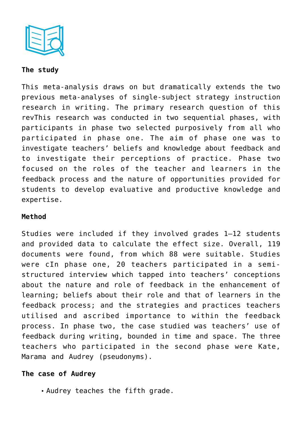

### **The study**

This meta-analysis draws on but dramatically extends the two previous meta-analyses of single-subject strategy instruction research in writing. The primary research question of this revThis research was conducted in two sequential phases, with participants in phase two selected purposively from all who participated in phase one. The aim of phase one was to investigate teachers' beliefs and knowledge about feedback and to investigate their perceptions of practice. Phase two focused on the roles of the teacher and learners in the feedback process and the nature of opportunities provided for students to develop evaluative and productive knowledge and expertise.

#### **Method**

Studies were included if they involved grades 1–12 students and provided data to calculate the effect size. Overall, 119 documents were found, from which 88 were suitable. Studies were cIn phase one, 20 teachers participated in a semistructured interview which tapped into teachers' conceptions about the nature and role of feedback in the enhancement of learning; beliefs about their role and that of learners in the feedback process; and the strategies and practices teachers utilised and ascribed importance to within the feedback process. In phase two, the case studied was teachers' use of feedback during writing, bounded in time and space. The three teachers who participated in the second phase were Kate, Marama and Audrey (pseudonyms).

# **The case of Audrey**

Audrey teaches the fifth grade.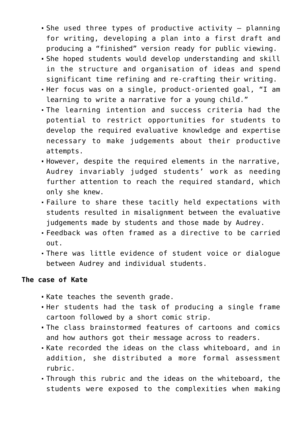- She used three types of productive activity  $-$  planning for writing, developing a plan into a first draft and producing a "finished" version ready for public viewing.
- She hoped students would develop understanding and skill in the structure and organisation of ideas and spend significant time refining and re-crafting their writing.
- Her focus was on a single, product-oriented goal, "I am learning to write a narrative for a young child."
- The learning intention and success criteria had the potential to restrict opportunities for students to develop the required evaluative knowledge and expertise necessary to make judgements about their productive attempts.
- However, despite the required elements in the narrative, Audrey invariably judged students' work as needing further attention to reach the required standard, which only she knew.
- Failure to share these tacitly held expectations with students resulted in misalignment between the evaluative judgements made by students and those made by Audrey.
- Feedback was often framed as a directive to be carried out.
- There was little evidence of student voice or dialogue between Audrey and individual students.

#### **The case of Kate**

- Kate teaches the seventh grade.
- Her students had the task of producing a single frame cartoon followed by a short comic strip.
- The class brainstormed features of cartoons and comics and how authors got their message across to readers.
- Kate recorded the ideas on the class whiteboard, and in addition, she distributed a more formal assessment rubric.
- Through this rubric and the ideas on the whiteboard, the students were exposed to the complexities when making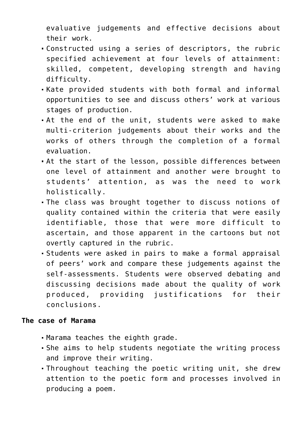evaluative judgements and effective decisions about their work.

- Constructed using a series of descriptors, the rubric specified achievement at four levels of attainment: skilled, competent, developing strength and having difficulty.
- Kate provided students with both formal and informal opportunities to see and discuss others' work at various stages of production.
- At the end of the unit, students were asked to make multi-criterion judgements about their works and the works of others through the completion of a formal evaluation.
- At the start of the lesson, possible differences between one level of attainment and another were brought to students' attention, as was the need to work holistically.
- The class was brought together to discuss notions of quality contained within the criteria that were easily identifiable, those that were more difficult to ascertain, and those apparent in the cartoons but not overtly captured in the rubric.
- Students were asked in pairs to make a formal appraisal of peers' work and compare these judgements against the self-assessments. Students were observed debating and discussing decisions made about the quality of work produced, providing justifications for their conclusions.

#### **The case of Marama**

- Marama teaches the eighth grade.
- She aims to help students negotiate the writing process and improve their writing.
- Throughout teaching the poetic writing unit, she drew attention to the poetic form and processes involved in producing a poem.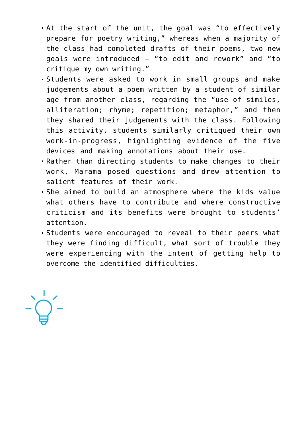- At the start of the unit, the goal was "to effectively prepare for poetry writing," whereas when a majority of the class had completed drafts of their poems, two new goals were introduced – "to edit and rework" and "to critique my own writing."
- Students were asked to work in small groups and make judgements about a poem written by a student of similar age from another class, regarding the "use of similes, alliteration; rhyme; repetition; metaphor," and then they shared their judgements with the class. Following this activity, students similarly critiqued their own work-in-progress, highlighting evidence of the five devices and making annotations about their use.
- Rather than directing students to make changes to their work, Marama posed questions and drew attention to salient features of their work.
- She aimed to build an atmosphere where the kids value what others have to contribute and where constructive criticism and its benefits were brought to students' attention.
- Students were encouraged to reveal to their peers what they were finding difficult, what sort of trouble they were experiencing with the intent of getting help to overcome the identified difficulties.

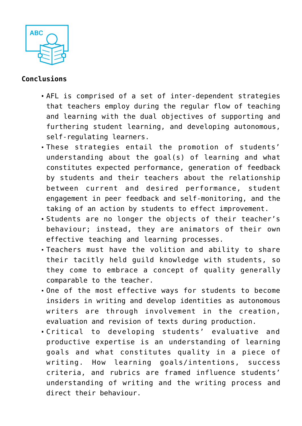

# **Conclusions**

- AFL is comprised of a set of inter-dependent strategies that teachers employ during the regular flow of teaching and learning with the dual objectives of supporting and furthering student learning, and developing autonomous, self-regulating learners.
- These strategies entail the promotion of students' understanding about the goal(s) of learning and what constitutes expected performance, generation of feedback by students and their teachers about the relationship between current and desired performance, student engagement in peer feedback and self-monitoring, and the taking of an action by students to effect improvement.
- Students are no longer the objects of their teacher's behaviour; instead, they are animators of their own effective teaching and learning processes.
- Teachers must have the volition and ability to share their tacitly held guild knowledge with students, so they come to embrace a concept of quality generally comparable to the teacher.
- One of the most effective ways for students to become insiders in writing and develop identities as autonomous writers are through involvement in the creation, evaluation and revision of texts during production.
- Critical to developing students' evaluative and productive expertise is an understanding of learning goals and what constitutes quality in a piece of writing. How learning goals/intentions, success criteria, and rubrics are framed influence students' understanding of writing and the writing process and direct their behaviour.